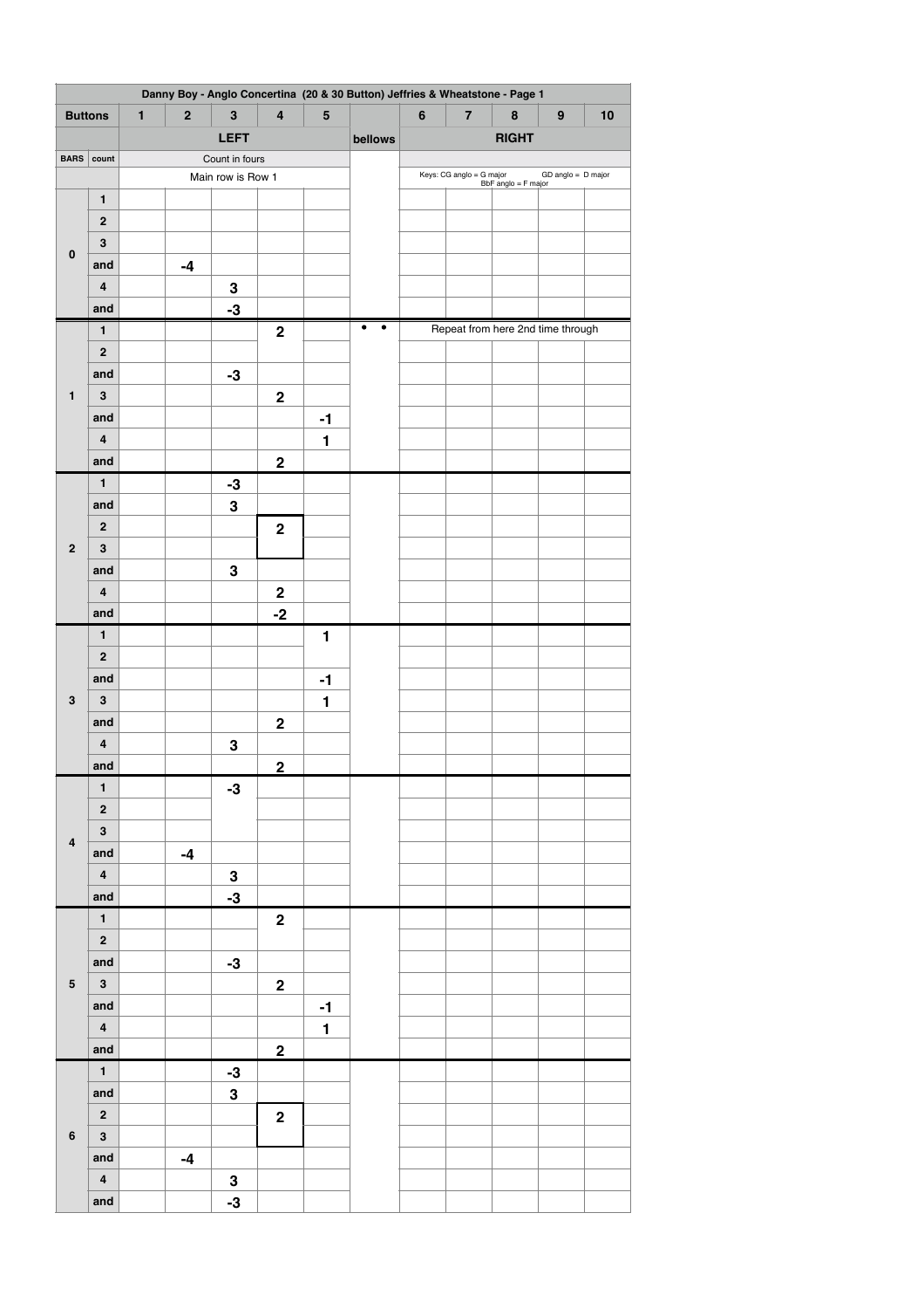| Danny Boy - Anglo Concertina (20 & 30 Button) Jeffries & Wheatstone - Page 1 |                         |              |             |                         |                         |              |                |              |                          |                     |                                   |      |  |  |
|------------------------------------------------------------------------------|-------------------------|--------------|-------------|-------------------------|-------------------------|--------------|----------------|--------------|--------------------------|---------------------|-----------------------------------|------|--|--|
| <b>Buttons</b>                                                               |                         | $\mathbf{1}$ | $\mathbf 2$ | $\bf 3$                 | $\overline{\mathbf{4}}$ | ${\bf 5}$    |                | $\bf 6$      | $\bf 7$                  | 8                   | $\boldsymbol{9}$                  | $10$ |  |  |
|                                                                              |                         |              |             | <b>LEFT</b>             |                         |              | bellows        | <b>RIGHT</b> |                          |                     |                                   |      |  |  |
| <b>BARS</b>                                                                  | count                   |              |             | Count in fours          |                         |              |                |              |                          |                     |                                   |      |  |  |
|                                                                              |                         |              |             | Main row is Row 1       |                         |              |                |              | Keys: CG anglo = G major | BbF anglo = F major | $GD$ anglo = $D$ major            |      |  |  |
|                                                                              | $\mathbf{1}$            |              |             |                         |                         |              |                |              |                          |                     |                                   |      |  |  |
|                                                                              | $\bf 2$                 |              |             |                         |                         |              |                |              |                          |                     |                                   |      |  |  |
| $\pmb{0}$                                                                    | $\bf{3}$                |              |             |                         |                         |              |                |              |                          |                     |                                   |      |  |  |
|                                                                              | and                     |              | $-4$        |                         |                         |              |                |              |                          |                     |                                   |      |  |  |
|                                                                              | $\pmb{4}$               |              |             | ${\bf 3}$               |                         |              |                |              |                          |                     |                                   |      |  |  |
|                                                                              | and                     |              |             | $-3$                    |                         |              |                |              |                          |                     |                                   |      |  |  |
|                                                                              | $\mathbf{1}$            |              |             |                         | $\bf 2$                 |              | $\bullet$<br>٠ |              |                          |                     | Repeat from here 2nd time through |      |  |  |
|                                                                              | $\bf 2$                 |              |             |                         |                         |              |                |              |                          |                     |                                   |      |  |  |
|                                                                              | and                     |              |             | $-3$                    |                         |              |                |              |                          |                     |                                   |      |  |  |
| $\mathbf{1}$                                                                 | $\bf{3}$                |              |             |                         | $\mathbf 2$             |              |                |              |                          |                     |                                   |      |  |  |
|                                                                              | and                     |              |             |                         |                         | $-1$         |                |              |                          |                     |                                   |      |  |  |
|                                                                              | 4                       |              |             |                         |                         | $\mathbf{1}$ |                |              |                          |                     |                                   |      |  |  |
|                                                                              | and                     |              |             |                         | $\bf 2$                 |              |                |              |                          |                     |                                   |      |  |  |
|                                                                              | 1                       |              |             | $-3$                    |                         |              |                |              |                          |                     |                                   |      |  |  |
|                                                                              | and                     |              |             | 3                       |                         |              |                |              |                          |                     |                                   |      |  |  |
| $\bf 2$                                                                      | $\bf 2$<br>$\bf{3}$     |              |             |                         | $\mathbf 2$             |              |                |              |                          |                     |                                   |      |  |  |
|                                                                              | and                     |              |             |                         |                         |              |                |              |                          |                     |                                   |      |  |  |
|                                                                              | $\pmb{4}$               |              |             | ${\bf 3}$               | $\mathbf 2$             |              |                |              |                          |                     |                                   |      |  |  |
|                                                                              | and                     |              |             |                         | $-2$                    |              |                |              |                          |                     |                                   |      |  |  |
|                                                                              | $\mathbf{1}$            |              |             |                         |                         | 1            |                |              |                          |                     |                                   |      |  |  |
|                                                                              | $\bf 2$                 |              |             |                         |                         |              |                |              |                          |                     |                                   |      |  |  |
|                                                                              | and                     |              |             |                         |                         | $-1$         |                |              |                          |                     |                                   |      |  |  |
| $\bf{3}$                                                                     | $\bf{3}$                |              |             |                         |                         | $\mathbf{1}$ |                |              |                          |                     |                                   |      |  |  |
|                                                                              | and                     |              |             |                         | $\bf 2$                 |              |                |              |                          |                     |                                   |      |  |  |
|                                                                              | $\pmb{4}$               |              |             | ${\bf 3}$               |                         |              |                |              |                          |                     |                                   |      |  |  |
|                                                                              | and                     |              |             |                         | $\overline{2}$          |              |                |              |                          |                     |                                   |      |  |  |
|                                                                              | $\mathbf{1}$            |              |             | $-3$                    |                         |              |                |              |                          |                     |                                   |      |  |  |
|                                                                              | $\overline{\mathbf{2}}$ |              |             |                         |                         |              |                |              |                          |                     |                                   |      |  |  |
|                                                                              | $\overline{\mathbf{3}}$ |              |             |                         |                         |              |                |              |                          |                     |                                   |      |  |  |
| $\pmb{4}$                                                                    | and                     |              | $-4$        |                         |                         |              |                |              |                          |                     |                                   |      |  |  |
|                                                                              | $\overline{\mathbf{4}}$ |              |             | $\bf 3$                 |                         |              |                |              |                          |                     |                                   |      |  |  |
|                                                                              | and                     |              |             | $-3$                    |                         |              |                |              |                          |                     |                                   |      |  |  |
|                                                                              | $\mathbf{1}$            |              |             |                         | $\mathbf 2$             |              |                |              |                          |                     |                                   |      |  |  |
|                                                                              | $\mathbf{2}$            |              |             |                         |                         |              |                |              |                          |                     |                                   |      |  |  |
|                                                                              | and                     |              |             | $-3$                    |                         |              |                |              |                          |                     |                                   |      |  |  |
| ${\bf 5}$                                                                    | $\mathbf{3}$            |              |             |                         | $\mathbf 2$             |              |                |              |                          |                     |                                   |      |  |  |
|                                                                              | and                     |              |             |                         |                         | $-1$         |                |              |                          |                     |                                   |      |  |  |
|                                                                              | $\overline{\mathbf{4}}$ |              |             |                         |                         | $\mathbf{1}$ |                |              |                          |                     |                                   |      |  |  |
| 6                                                                            | and                     |              |             |                         | $\overline{2}$          |              |                |              |                          |                     |                                   |      |  |  |
|                                                                              | $\mathbf{1}$            |              |             | $-3$                    |                         |              |                |              |                          |                     |                                   |      |  |  |
|                                                                              | and                     |              |             | $\overline{\mathbf{3}}$ |                         |              |                |              |                          |                     |                                   |      |  |  |
|                                                                              | $\overline{\mathbf{2}}$ |              |             |                         | $\mathbf 2$             |              |                |              |                          |                     |                                   |      |  |  |
|                                                                              | $\mathbf{3}$            |              |             |                         |                         |              |                |              |                          |                     |                                   |      |  |  |
|                                                                              | and                     |              | $-4$        |                         |                         |              |                |              |                          |                     |                                   |      |  |  |
|                                                                              | $\overline{\mathbf{4}}$ |              |             | ${\bf 3}$               |                         |              |                |              |                          |                     |                                   |      |  |  |
|                                                                              | and                     |              |             | $-3$                    |                         |              |                |              |                          |                     |                                   |      |  |  |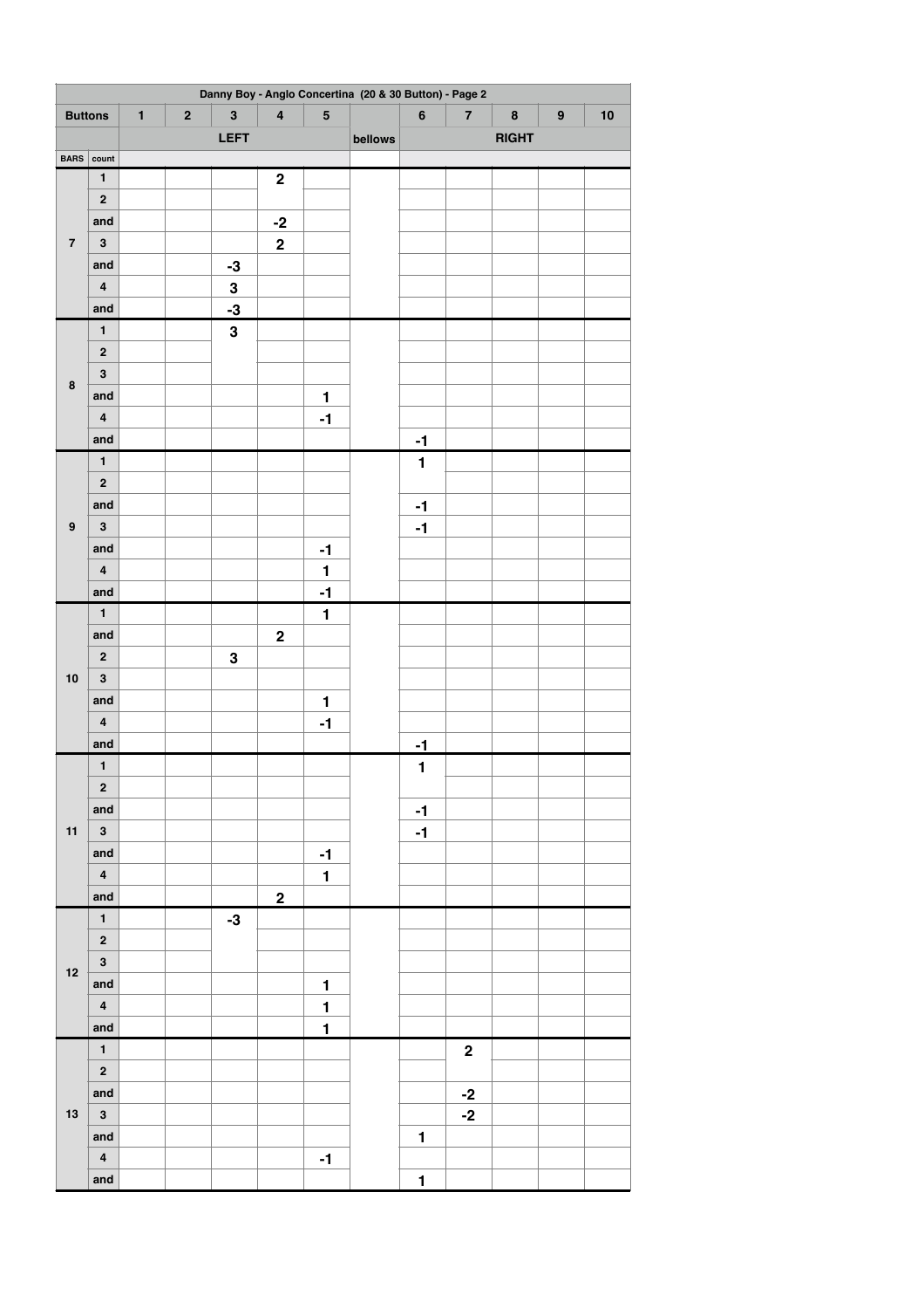| Danny Boy - Anglo Concertina (20 & 30 Button) - Page 2 |                         |              |             |              |                         |                         |              |              |                         |           |                  |    |
|--------------------------------------------------------|-------------------------|--------------|-------------|--------------|-------------------------|-------------------------|--------------|--------------|-------------------------|-----------|------------------|----|
| <b>Buttons</b>                                         |                         | $\mathbf{1}$ | $\mathbf 2$ | $\mathbf{3}$ | $\overline{\mathbf{4}}$ | $\overline{\mathbf{5}}$ |              | $\bf 6$      | $\overline{\mathbf{7}}$ | $\pmb{8}$ | $\boldsymbol{9}$ | 10 |
|                                                        |                         | LEFT         |             |              |                         | bellows                 | <b>RIGHT</b> |              |                         |           |                  |    |
| <b>BARS</b>                                            | count                   |              |             |              |                         |                         |              |              |                         |           |                  |    |
|                                                        | $\mathbf{1}$            |              |             |              | $\boldsymbol{2}$        |                         |              |              |                         |           |                  |    |
|                                                        | $\bf 2$                 |              |             |              |                         |                         |              |              |                         |           |                  |    |
|                                                        | and                     |              |             |              | $-2$                    |                         |              |              |                         |           |                  |    |
| $\overline{\mathbf{7}}$                                | $\mathbf 3$             |              |             |              | $\mathbf 2$             |                         |              |              |                         |           |                  |    |
|                                                        | and                     |              |             | $-3$         |                         |                         |              |              |                         |           |                  |    |
|                                                        | $\pmb{4}$               |              |             | 3            |                         |                         |              |              |                         |           |                  |    |
|                                                        | and                     |              |             | $-3$         |                         |                         |              |              |                         |           |                  |    |
|                                                        | $\mathbf{1}$            |              |             | $\mathbf{3}$ |                         |                         |              |              |                         |           |                  |    |
|                                                        | $\bf 2$                 |              |             |              |                         |                         |              |              |                         |           |                  |    |
|                                                        | $\bf{3}$                |              |             |              |                         |                         |              |              |                         |           |                  |    |
| $\pmb{8}$                                              | and                     |              |             |              |                         | $\mathbf{1}$            |              |              |                         |           |                  |    |
|                                                        | $\pmb{4}$               |              |             |              |                         | $-1$                    |              |              |                         |           |                  |    |
|                                                        | and                     |              |             |              |                         |                         |              | $-1$         |                         |           |                  |    |
|                                                        | $\mathbf{1}$            |              |             |              |                         |                         |              | $\mathbf{1}$ |                         |           |                  |    |
|                                                        | $\bf 2$                 |              |             |              |                         |                         |              |              |                         |           |                  |    |
|                                                        | and                     |              |             |              |                         |                         |              |              |                         |           |                  |    |
| $\boldsymbol{9}$                                       | $\mathbf 3$             |              |             |              |                         |                         |              | $-1$         |                         |           |                  |    |
|                                                        |                         |              |             |              |                         |                         |              | $-1$         |                         |           |                  |    |
|                                                        | and                     |              |             |              |                         | $-1$                    |              |              |                         |           |                  |    |
|                                                        | $\overline{\mathbf{4}}$ |              |             |              |                         | $\mathbf{1}$            |              |              |                         |           |                  |    |
|                                                        | and                     |              |             |              |                         | $-1$                    |              |              |                         |           |                  |    |
|                                                        | $\mathbf{1}$            |              |             |              |                         | 1                       |              |              |                         |           |                  |    |
|                                                        | and                     |              |             |              | $\bf 2$                 |                         |              |              |                         |           |                  |    |
|                                                        | $\mathbf 2$             |              |             | ${\bf 3}$    |                         |                         |              |              |                         |           |                  |    |
| 10                                                     | $\mathbf 3$             |              |             |              |                         |                         |              |              |                         |           |                  |    |
|                                                        | and                     |              |             |              |                         | 1                       |              |              |                         |           |                  |    |
|                                                        | $\pmb{4}$               |              |             |              |                         | $-1$                    |              |              |                         |           |                  |    |
|                                                        | and                     |              |             |              |                         |                         |              | $-1$         |                         |           |                  |    |
|                                                        | $\mathbf{1}$            |              |             |              |                         |                         |              | $\mathbf{1}$ |                         |           |                  |    |
|                                                        | $\overline{\mathbf{2}}$ |              |             |              |                         |                         |              |              |                         |           |                  |    |
|                                                        | and                     |              |             |              |                         |                         |              | $-1$         |                         |           |                  |    |
| $11$                                                   | $\mathbf{3}$            |              |             |              |                         |                         |              | $-1$         |                         |           |                  |    |
|                                                        | and                     |              |             |              |                         | $-1$                    |              |              |                         |           |                  |    |
|                                                        | $\overline{\mathbf{4}}$ |              |             |              |                         | $\mathbf{1}$            |              |              |                         |           |                  |    |
|                                                        | and                     |              |             |              | $\overline{2}$          |                         |              |              |                         |           |                  |    |
|                                                        | $\mathbf{1}$            |              |             | $-3$         |                         |                         |              |              |                         |           |                  |    |
|                                                        | $\mathbf 2$             |              |             |              |                         |                         |              |              |                         |           |                  |    |
| 12                                                     | $\overline{\mathbf{3}}$ |              |             |              |                         |                         |              |              |                         |           |                  |    |
|                                                        | and                     |              |             |              |                         | $\mathbf{1}$            |              |              |                         |           |                  |    |
|                                                        | $\overline{\mathbf{4}}$ |              |             |              |                         | $\mathbf{1}$            |              |              |                         |           |                  |    |
|                                                        | and                     |              |             |              |                         | $\overline{1}$          |              |              |                         |           |                  |    |
| 13                                                     | $\mathbf{1}$            |              |             |              |                         |                         |              |              | $\boldsymbol{2}$        |           |                  |    |
|                                                        | $\overline{\mathbf{2}}$ |              |             |              |                         |                         |              |              |                         |           |                  |    |
|                                                        | and                     |              |             |              |                         |                         |              |              | $-2$                    |           |                  |    |
|                                                        | $\mathbf{3}$            |              |             |              |                         |                         |              |              | $-2$                    |           |                  |    |
|                                                        | and                     |              |             |              |                         |                         |              | $\mathbf{1}$ |                         |           |                  |    |
|                                                        | $\overline{\mathbf{4}}$ |              |             |              |                         | $-1$                    |              |              |                         |           |                  |    |
|                                                        | and                     |              |             |              |                         |                         |              | $\mathbf{1}$ |                         |           |                  |    |